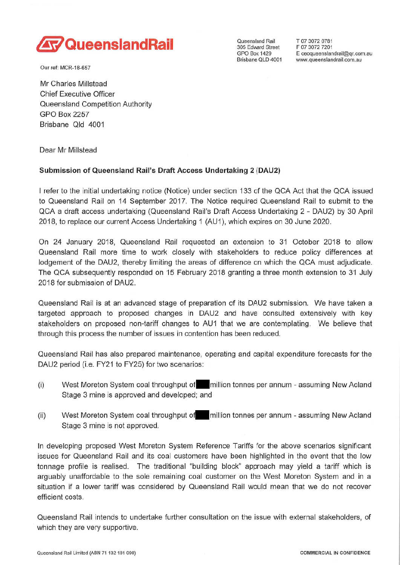

Our ref: MCR-18-657

Mr Charles Millstead

Chief Executive Officer Queensland Competition Authority GPO Box 2257 Brisbane Old 4001

Dear Mr Millstead

## **Submission of Queensland Rail's Draft Access Undertaking 2 (DAU2)**

I refer to the initial undertaking notice (Notice) under section 133 of the QCA Act that the OCA issued to Queensland Rail on 14 September 2017. The Notice required Queensland Rail to submit to the QCA a draft access undertaking (Queensland Rail's Draft Access Undertaking 2 - DAU2) by 30 April 2018, to replace our current Access Undertaking 1 (AU1), which expires on 30 June 2020.

On 24 January 2018, Queensland Rail requested an extension to 31 October 2018 to allow Queensland Rail more time to work closely with stakeholders to reduce policy differences at lodgement of the DAU2, thereby limiting the areas of difference cn which the QCA must adjudicate. The QCA subsequently responded on 15 February 2018 granting a three month extension to 31 July 2018 for submission of DAU2.

Queensland Rail is at an advanced stage of preparation of its DAU2 submission. We have taken a targeted approach to proposed changes in DAU2 and have consulted extensively with key stakeholders on proposed non-tariff changes to AU1 that we are contemplating. We believe that through this process the number of issues in contention has been reduced.

Queensland Rail has also prepared maintenance, operating and capital expenditure forecasts for the DAU2 period (i.e. FY21 to FY25) for two scenarios:

- (i) West Moreton System coal throughput of million tonnes per annum assuming New Acland Stage 3 mine is approved and developed; and
- West Moreton System coal throughput of **Mullion tonnes per annum assuming New Acland** Stage 3 mine is not approved. (ii)

In developing proposed West Moreton System Reference Tariffs for the above scenarios significant issues for Queensland Rail and its coal customers have been highlighted in the event that the low tonnage profile is realised. The traditional "building block" approach may yield a tariff which is arguably unaffordable to the sole remaining coal customer on the West Moreton System and in a situation if a lower tariff was considered by Queensland Rail would mean that we do not recover efficient costs.

Queensland Rail intends to undertake further consultation on the issue with external stakeholders, of which they are very supportive.

E ceoqueenslandrail@qr.com.au www.queenslandrail.com.au